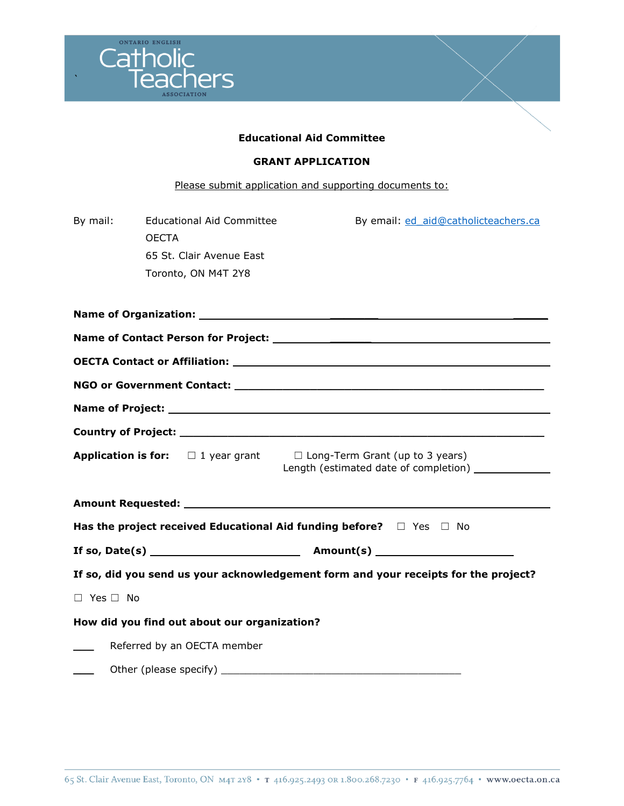

#### **Educational Aid Committee**

#### **GRANT APPLICATION**

# Please submit application and supporting documents to:

| By mail:                                                                      | Educational Aid Committee<br><b>OECTA</b><br>65 St. Clair Avenue East<br>Toronto, ON M4T 2Y8 | By email: ed aid@catholicteachers.ca                                                |  |  |  |  |
|-------------------------------------------------------------------------------|----------------------------------------------------------------------------------------------|-------------------------------------------------------------------------------------|--|--|--|--|
|                                                                               |                                                                                              |                                                                                     |  |  |  |  |
|                                                                               |                                                                                              |                                                                                     |  |  |  |  |
|                                                                               |                                                                                              |                                                                                     |  |  |  |  |
|                                                                               |                                                                                              |                                                                                     |  |  |  |  |
|                                                                               |                                                                                              |                                                                                     |  |  |  |  |
|                                                                               |                                                                                              |                                                                                     |  |  |  |  |
|                                                                               | <b>Application is for:</b> $\Box$ 1 year grant                                               | $\Box$ Long-Term Grant (up to 3 years)                                              |  |  |  |  |
|                                                                               |                                                                                              |                                                                                     |  |  |  |  |
| Has the project received Educational Aid funding before? $\Box$ Yes $\Box$ No |                                                                                              |                                                                                     |  |  |  |  |
|                                                                               |                                                                                              |                                                                                     |  |  |  |  |
|                                                                               |                                                                                              | If so, did you send us your acknowledgement form and your receipts for the project? |  |  |  |  |
| $\Box$ Yes $\Box$ No                                                          |                                                                                              |                                                                                     |  |  |  |  |
|                                                                               | How did you find out about our organization?                                                 |                                                                                     |  |  |  |  |
|                                                                               | Referred by an OECTA member                                                                  |                                                                                     |  |  |  |  |
|                                                                               |                                                                                              |                                                                                     |  |  |  |  |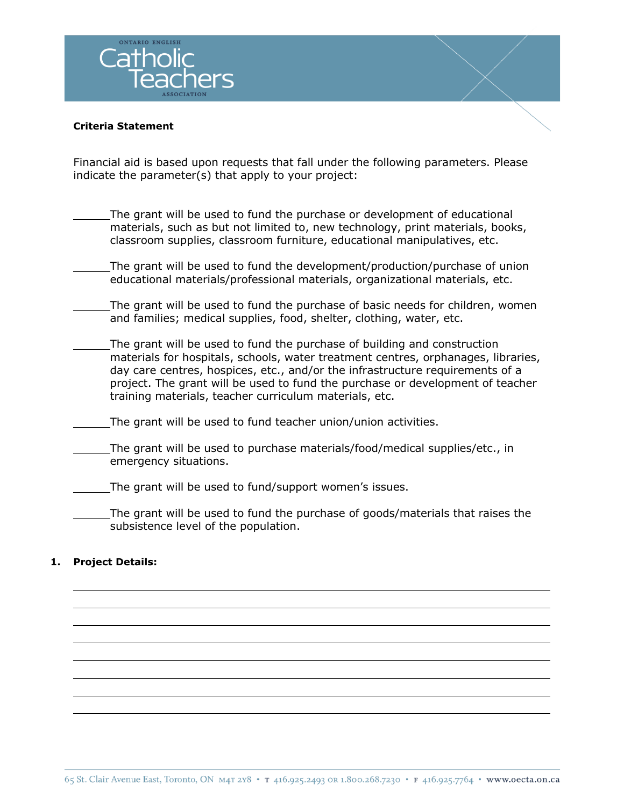

#### **Criteria Statement**

Financial aid is based upon requests that fall under the following parameters. Please indicate the parameter(s) that apply to your project:

- The grant will be used to fund the purchase or development of educational materials, such as but not limited to, new technology, print materials, books, classroom supplies, classroom furniture, educational manipulatives, etc.
- The grant will be used to fund the development/production/purchase of union educational materials/professional materials, organizational materials, etc.
- The grant will be used to fund the purchase of basic needs for children, women and families; medical supplies, food, shelter, clothing, water, etc.
- The grant will be used to fund the purchase of building and construction materials for hospitals, schools, water treatment centres, orphanages, libraries, day care centres, hospices, etc., and/or the infrastructure requirements of a project. The grant will be used to fund the purchase or development of teacher training materials, teacher curriculum materials, etc.
- The grant will be used to fund teacher union/union activities.
- The grant will be used to purchase materials/food/medical supplies/etc., in emergency situations.
- The grant will be used to fund/support women's issues.
- The grant will be used to fund the purchase of goods/materials that raises the subsistence level of the population.

## **1. Project Details:**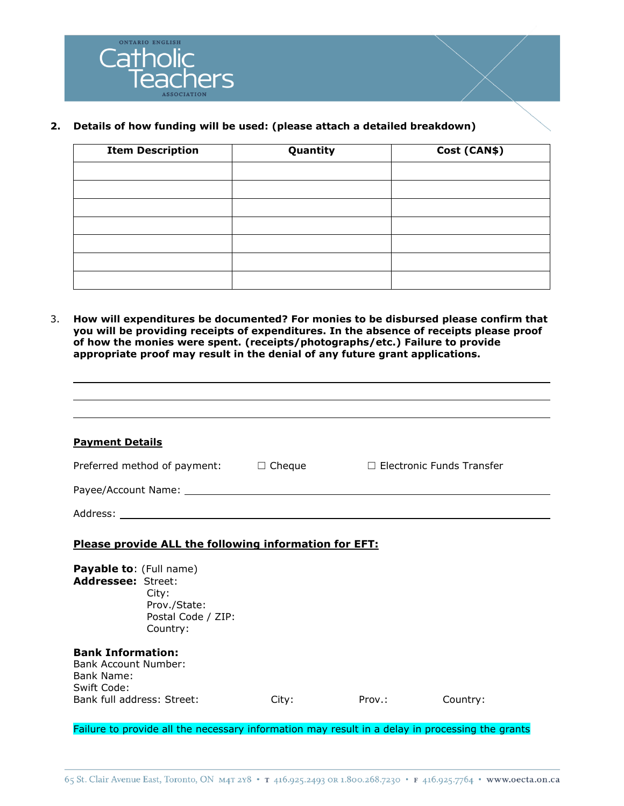

## **2. Details of how funding will be used: (please attach a detailed breakdown)**

| <b>Item Description</b> | Quantity | Cost (CAN\$) |
|-------------------------|----------|--------------|
|                         |          |              |
|                         |          |              |
|                         |          |              |
|                         |          |              |
|                         |          |              |
|                         |          |              |
|                         |          |              |

3. **How will expenditures be documented? For monies to be disbursed please confirm that you will be providing receipts of expenditures. In the absence of receipts please proof of how the monies were spent. (receipts/photographs/etc.) Failure to provide appropriate proof may result in the denial of any future grant applications.**

| <b>Payment Details</b>                                                                                                                                                   |  |
|--------------------------------------------------------------------------------------------------------------------------------------------------------------------------|--|
| Preferred method of payment: $\square$ Cheque $\square$ Electronic Funds Transfer                                                                                        |  |
|                                                                                                                                                                          |  |
|                                                                                                                                                                          |  |
|                                                                                                                                                                          |  |
| Please provide ALL the following information for EFT:<br><b>Payable to: (Full name)</b><br>Addressee: Street:<br>City:<br>Prov./State:<br>Postal Code / ZIP:<br>Country: |  |
| <b>Bank Information:</b><br>Bank Account Number:<br>Bank Name:<br>Swift Code:                                                                                            |  |